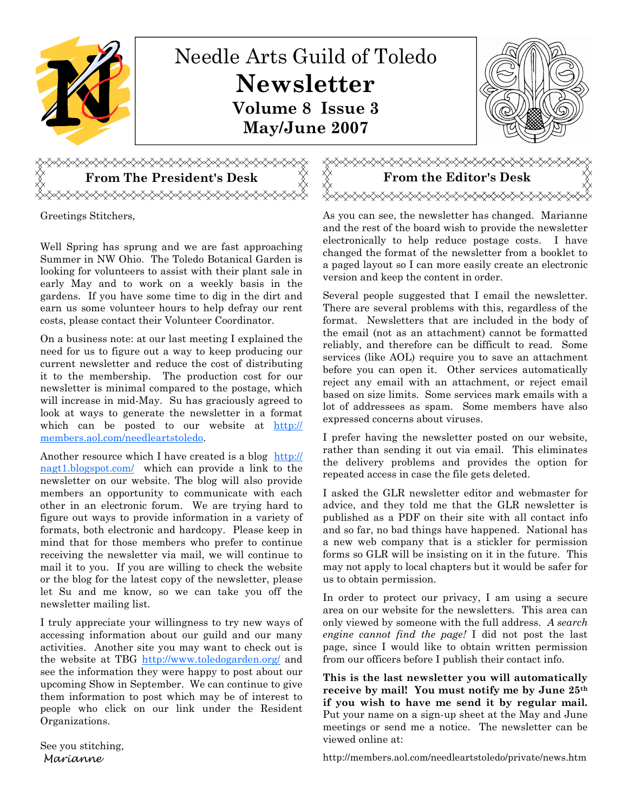

Greetings Stitchers,

Well Spring has sprung and we are fast approaching Summer in NW Ohio. The Toledo Botanical Garden is looking for volunteers to assist with their plant sale in early May and to work on a weekly basis in the gardens. If you have some time to dig in the dirt and earn us some volunteer hours to help defray our rent costs, please contact their Volunteer Coordinator.

On a business note: at our last meeting I explained the need for us to figure out a way to keep producing our current newsletter and reduce the cost of distributing it to the membership. The production cost for our newsletter is minimal compared to the postage, which will increase in mid-May. Su has graciously agreed to look at ways to generate the newsletter in a format which can be posted to our website at http:// members.aol.com/needleartstoledo.

Another resource which I have created is a blog http:// nagt1.blogspot.com/ which can provide a link to the newsletter on our website. The blog will also provide members an opportunity to communicate with each other in an electronic forum. We are trying hard to figure out ways to provide information in a variety of formats, both electronic and hardcopy. Please keep in mind that for those members who prefer to continue receiving the newsletter via mail, we will continue to mail it to you. If you are willing to check the website or the blog for the latest copy of the newsletter, please let Su and me know, so we can take you off the newsletter mailing list.

I truly appreciate your willingness to try new ways of accessing information about our guild and our many activities. Another site you may want to check out is the website at TBG http://www.toledogarden.org/ and see the information they were happy to post about our upcoming Show in September. We can continue to give them information to post which may be of interest to people who click on our link under the Resident Organizations.

See you stitching, Marianne

As you can see, the newsletter has changed. Marianne and the rest of the board wish to provide the newsletter electronically to help reduce postage costs. I have changed the format of the newsletter from a booklet to a paged layout so I can more easily create an electronic version and keep the content in order.

Several people suggested that I email the newsletter. There are several problems with this, regardless of the format. Newsletters that are included in the body of the email (not as an attachment) cannot be formatted reliably, and therefore can be difficult to read. Some services (like AOL) require you to save an attachment before you can open it. Other services automatically reject any email with an attachment, or reject email based on size limits. Some services mark emails with a lot of addressees as spam. Some members have also expressed concerns about viruses.

I prefer having the newsletter posted on our website, rather than sending it out via email. This eliminates the delivery problems and provides the option for repeated access in case the file gets deleted.

I asked the GLR newsletter editor and webmaster for advice, and they told me that the GLR newsletter is published as a PDF on their site with all contact info and so far, no bad things have happened. National has a new web company that is a stickler for permission forms so GLR will be insisting on it in the future. This may not apply to local chapters but it would be safer for us to obtain permission.

In order to protect our privacy, I am using a secure area on our website for the newsletters. This area can only viewed by someone with the full address. A search engine cannot find the page! I did not post the last page, since I would like to obtain written permission from our officers before I publish their contact info.

This is the last newsletter you will automatically receive by mail! You must notify me by June 25th if you wish to have me send it by regular mail. Put your name on a sign-up sheet at the May and June meetings or send me a notice. The newsletter can be viewed online at:

http://members.aol.com/needleartstoledo/private/news.htm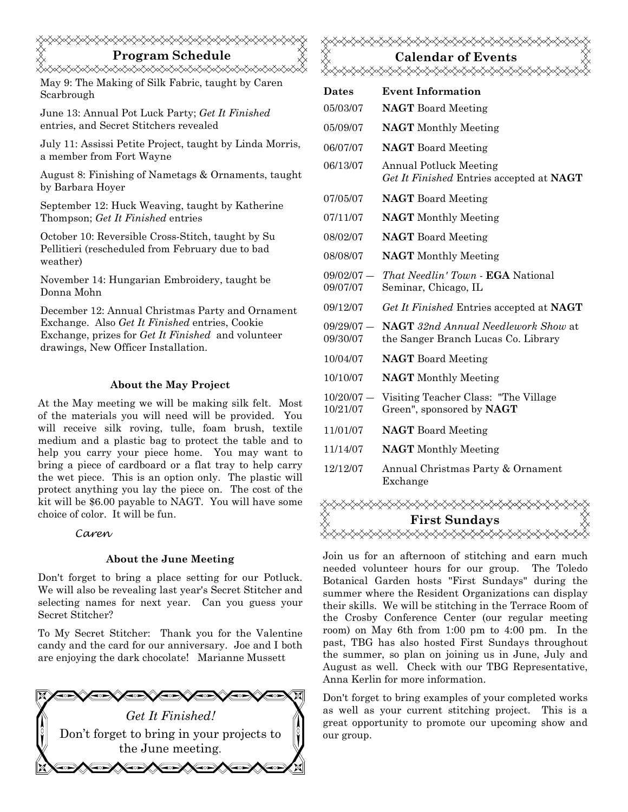# Program Schedule <del></del>

May 9: The Making of Silk Fabric, taught by Caren Scarbrough

June 13: Annual Pot Luck Party; Get It Finished entries, and Secret Stitchers revealed

July 11: Assissi Petite Project, taught by Linda Morris, a member from Fort Wayne

August 8: Finishing of Nametags & Ornaments, taught by Barbara Hoyer

September 12: Huck Weaving, taught by Katherine Thompson; Get It Finished entries

October 10: Reversible Cross-Stitch, taught by Su Pellitieri (rescheduled from February due to bad weather)

November 14: Hungarian Embroidery, taught be Donna Mohn

December 12: Annual Christmas Party and Ornament Exchange. Also Get It Finished entries, Cookie Exchange, prizes for Get It Finished and volunteer drawings, New Officer Installation.

### About the May Project

At the May meeting we will be making silk felt. Most of the materials you will need will be provided. You will receive silk roving, tulle, foam brush, textile medium and a plastic bag to protect the table and to help you carry your piece home. You may want to bring a piece of cardboard or a flat tray to help carry the wet piece. This is an option only. The plastic will protect anything you lay the piece on. The cost of the kit will be \$6.00 payable to NAGT. You will have some choice of color. It will be fun.

#### Caren

#### About the June Meeting

Don't forget to bring a place setting for our Potluck. We will also be revealing last year's Secret Stitcher and selecting names for next year. Can you guess your Secret Stitcher?

To My Secret Stitcher: Thank you for the Valentine candy and the card for our anniversary. Joe and I both are enjoying the dark chocolate! Marianne Mussett



# Calendar of Events<br>XXXXXXXXXXXXXXX

| <b>Dates</b>             | <b>Event Information</b>                                                          |
|--------------------------|-----------------------------------------------------------------------------------|
| 05/03/07                 | <b>NAGT</b> Board Meeting                                                         |
| 05/09/07                 | <b>NAGT</b> Monthly Meeting                                                       |
| 06/07/07                 | <b>NAGT</b> Board Meeting                                                         |
| 06/13/07                 | <b>Annual Potluck Meeting</b><br>Get It Finished Entries accepted at NAGT         |
| 07/05/07                 | <b>NAGT</b> Board Meeting                                                         |
| 07/11/07                 | <b>NAGT</b> Monthly Meeting                                                       |
| 08/02/07                 | <b>NAGT</b> Board Meeting                                                         |
| 08/08/07                 | <b>NAGT</b> Monthly Meeting                                                       |
| $09/02/07 -$<br>09/07/07 | <i>That Needlin' Town - EGA National</i><br>Seminar, Chicago, IL                  |
| 09/12/07                 | Get It Finished Entries accepted at NAGT                                          |
| $09/29/07 -$<br>09/30/07 | <b>NAGT</b> 32nd Annual Needlework Show at<br>the Sanger Branch Lucas Co. Library |
| 10/04/07                 | <b>NAGT</b> Board Meeting                                                         |
| 10/10/07                 | <b>NAGT</b> Monthly Meeting                                                       |
| $10/20/07 -$<br>10/21/07 | Visiting Teacher Class: "The Village<br>Green", sponsored by <b>NAGT</b>          |
| 11/01/07                 | <b>NAGT</b> Board Meeting                                                         |
| 11/14/07                 | <b>NAGT</b> Monthly Meeting                                                       |
| 12/12/07                 | Annual Christmas Party & Ornament<br>Exchange                                     |



Join us for an afternoon of stitching and earn much needed volunteer hours for our group. The Toledo Botanical Garden hosts "First Sundays" during the summer where the Resident Organizations can display their skills. We will be stitching in the Terrace Room of the Crosby Conference Center (our regular meeting room) on May 6th from 1:00 pm to 4:00 pm. In the past, TBG has also hosted First Sundays throughout the summer, so plan on joining us in June, July and August as well. Check with our TBG Representative, Anna Kerlin for more information.

Don't forget to bring examples of your completed works as well as your current stitching project. This is a great opportunity to promote our upcoming show and our group.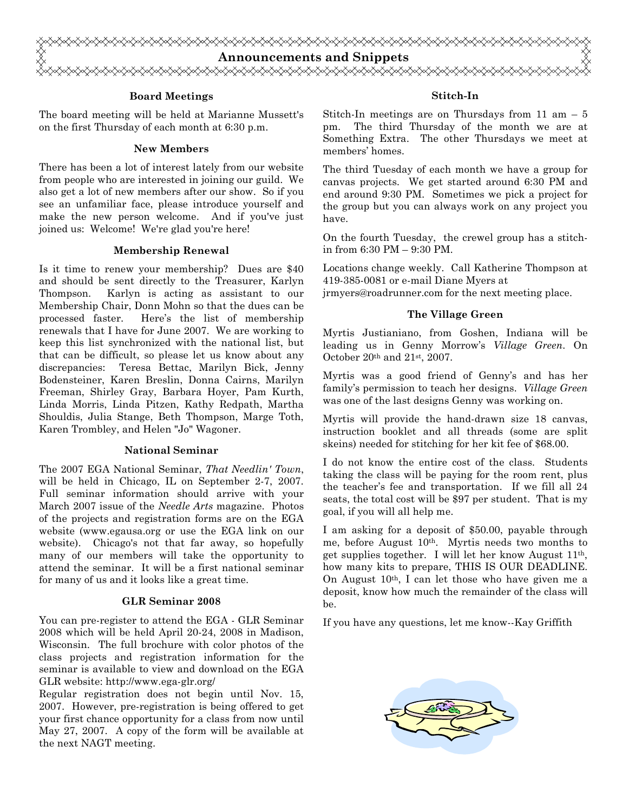

#### Board Meetings

The board meeting will be held at Marianne Mussett's on the first Thursday of each month at 6:30 p.m.

#### New Members

There has been a lot of interest lately from our website from people who are interested in joining our guild. We also get a lot of new members after our show. So if you see an unfamiliar face, please introduce yourself and make the new person welcome. And if you've just joined us: Welcome! We're glad you're here!

#### Membership Renewal

Is it time to renew your membership? Dues are \$40 and should be sent directly to the Treasurer, Karlyn Thompson. Karlyn is acting as assistant to our Membership Chair, Donn Mohn so that the dues can be processed faster. Here's the list of membership renewals that I have for June 2007. We are working to keep this list synchronized with the national list, but that can be difficult, so please let us know about any discrepancies: Teresa Bettac, Marilyn Bick, Jenny Bodensteiner, Karen Breslin, Donna Cairns, Marilyn Freeman, Shirley Gray, Barbara Hoyer, Pam Kurth, Linda Morris, Linda Pitzen, Kathy Redpath, Martha Shouldis, Julia Stange, Beth Thompson, Marge Toth, Karen Trombley, and Helen "Jo" Wagoner.

#### National Seminar

The 2007 EGA National Seminar, That Needlin' Town, will be held in Chicago, IL on September 2-7, 2007. Full seminar information should arrive with your March 2007 issue of the Needle Arts magazine. Photos of the projects and registration forms are on the EGA website (www.egausa.org or use the EGA link on our website). Chicago's not that far away, so hopefully many of our members will take the opportunity to attend the seminar. It will be a first national seminar for many of us and it looks like a great time.

#### GLR Seminar 2008

You can pre-register to attend the EGA - GLR Seminar 2008 which will be held April 20-24, 2008 in Madison, Wisconsin. The full brochure with color photos of the class projects and registration information for the seminar is available to view and download on the EGA GLR website: http://www.ega-glr.org/

Regular registration does not begin until Nov. 15, 2007. However, pre-registration is being offered to get your first chance opportunity for a class from now until May 27, 2007. A copy of the form will be available at the next NAGT meeting.

#### Stitch-In

Stitch-In meetings are on Thursdays from  $11 \text{ am } -5$ pm. The third Thursday of the month we are at Something Extra. The other Thursdays we meet at members' homes.

The third Tuesday of each month we have a group for canvas projects. We get started around 6:30 PM and end around 9:30 PM. Sometimes we pick a project for the group but you can always work on any project you have.

On the fourth Tuesday, the crewel group has a stitchin from 6:30 PM – 9:30 PM.

Locations change weekly. Call Katherine Thompson at 419-385-0081 or e-mail Diane Myers at jrmyers@roadrunner.com for the next meeting place.

#### The Village Green

Myrtis Justianiano, from Goshen, Indiana will be leading us in Genny Morrow's Village Green. On October 20th and 21st, 2007.

Myrtis was a good friend of Genny's and has her family's permission to teach her designs. Village Green was one of the last designs Genny was working on.

Myrtis will provide the hand-drawn size 18 canvas, instruction booklet and all threads (some are split skeins) needed for stitching for her kit fee of \$68.00.

I do not know the entire cost of the class. Students taking the class will be paying for the room rent, plus the teacher's fee and transportation. If we fill all 24 seats, the total cost will be \$97 per student. That is my goal, if you will all help me.

I am asking for a deposit of \$50.00, payable through me, before August 10th. Myrtis needs two months to get supplies together. I will let her know August 11th, how many kits to prepare, THIS IS OUR DEADLINE. On August  $10<sup>th</sup>$ , I can let those who have given me a deposit, know how much the remainder of the class will be.

If you have any questions, let me know--Kay Griffith